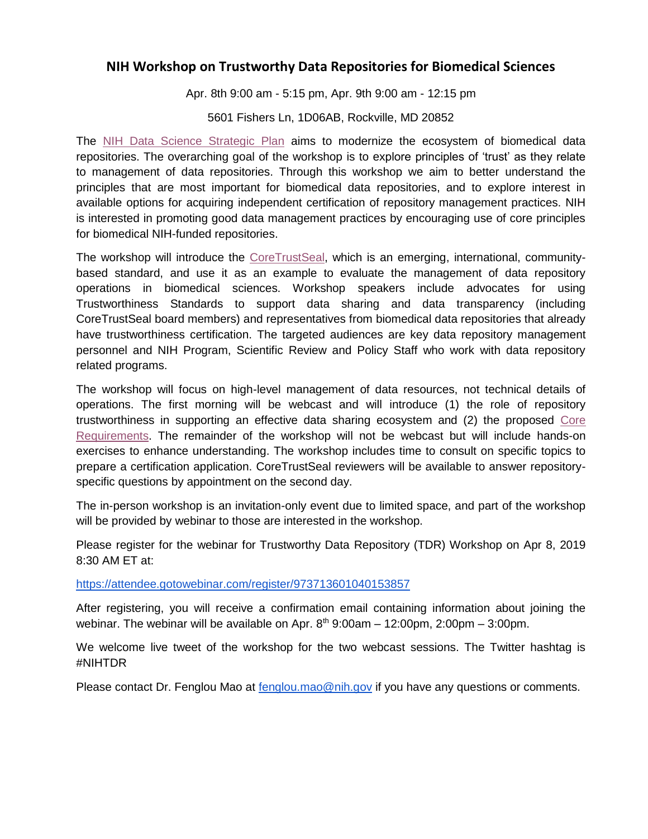#### **NIH Workshop on Trustworthy Data Repositories for Biomedical Sciences**

Apr. 8th 9:00 am - 5:15 pm, Apr. 9th 9:00 am - 12:15 pm

5601 Fishers Ln, 1D06AB, Rockville, MD 20852

The [NIH Data Science Strategic Plan](https://urldefense.proofpoint.com/v2/url?u=https-3A__datascience.nih.gov_sites_default_files_NIH-5FStrategic-5FPlan-5Ffor-5FData-5FScience-5FFinal-5F508.pdf&d=DwMGaQ&c=clK7kQUTWtAVEOVIgvi0NU5BOUHhpN0H8p7CSfnc_gI&r=QoU-4Ky3CNApsbhM1TC03htHeTYtxEXS_VQchuJgrYM&m=OmzEZwii6R1G2L1KtNt_htN-fpZk5ViOAz5JKJ0x6DE&s=QA3ldAWyrEBpL4CMMa27rgTnBYU_oTDV8t2wi0WwQoY&e=) aims to modernize the ecosystem of biomedical data repositories. The overarching goal of the workshop is to explore principles of 'trust' as they relate to management of data repositories. Through this workshop we aim to better understand the principles that are most important for biomedical data repositories, and to explore interest in available options for acquiring independent certification of repository management practices. NIH is interested in promoting good data management practices by encouraging use of core principles for biomedical NIH-funded repositories.

The workshop will introduce the [CoreTrustSeal,](https://urldefense.proofpoint.com/v2/url?u=https-3A__www.coretrustseal.org_&d=DwMGaQ&c=clK7kQUTWtAVEOVIgvi0NU5BOUHhpN0H8p7CSfnc_gI&r=QoU-4Ky3CNApsbhM1TC03htHeTYtxEXS_VQchuJgrYM&m=OmzEZwii6R1G2L1KtNt_htN-fpZk5ViOAz5JKJ0x6DE&s=FlHR2lPk9CUWGYlZBlXhgHTg9e75jLlfTPruC2ljVHQ&e=) which is an emerging, international, communitybased standard, and use it as an example to evaluate the management of data repository operations in biomedical sciences. Workshop speakers include advocates for using Trustworthiness Standards to support data sharing and data transparency (including CoreTrustSeal board members) and representatives from biomedical data repositories that already have trustworthiness certification. The targeted audiences are key data repository management personnel and NIH Program, Scientific Review and Policy Staff who work with data repository related programs.

The workshop will focus on high-level management of data resources, not technical details of operations. The first morning will be webcast and will introduce (1) the role of repository trustworthiness in supporting an effective data sharing ecosystem and (2) the proposed [Core](https://urldefense.proofpoint.com/v2/url?u=https-3A__www.coretrustseal.org_why-2Dcertification_requirements_&d=DwMGaQ&c=clK7kQUTWtAVEOVIgvi0NU5BOUHhpN0H8p7CSfnc_gI&r=QoU-4Ky3CNApsbhM1TC03htHeTYtxEXS_VQchuJgrYM&m=OmzEZwii6R1G2L1KtNt_htN-fpZk5ViOAz5JKJ0x6DE&s=7UMdo4bLt4olZpqqKYWY0IFGll_aeH7O1gIv7IgHHaE&e=)  [Requirements.](https://urldefense.proofpoint.com/v2/url?u=https-3A__www.coretrustseal.org_why-2Dcertification_requirements_&d=DwMGaQ&c=clK7kQUTWtAVEOVIgvi0NU5BOUHhpN0H8p7CSfnc_gI&r=QoU-4Ky3CNApsbhM1TC03htHeTYtxEXS_VQchuJgrYM&m=OmzEZwii6R1G2L1KtNt_htN-fpZk5ViOAz5JKJ0x6DE&s=7UMdo4bLt4olZpqqKYWY0IFGll_aeH7O1gIv7IgHHaE&e=) The remainder of the workshop will not be webcast but will include hands-on exercises to enhance understanding. The workshop includes time to consult on specific topics to prepare a certification application. CoreTrustSeal reviewers will be available to answer repositoryspecific questions by appointment on the second day.

The in-person workshop is an invitation-only event due to limited space, and part of the workshop will be provided by webinar to those are interested in the workshop.

Please register for the webinar for Trustworthy Data Repository (TDR) Workshop on Apr 8, 2019 8:30 AM ET at:

<https://attendee.gotowebinar.com/register/973713601040153857>

After registering, you will receive a confirmation email containing information about joining the webinar. The webinar will be available on Apr.  $8<sup>th</sup>$  9:00am – 12:00pm, 2:00pm – 3:00pm.

We welcome live tweet of the workshop for the two webcast sessions. The Twitter hashtag is #NIHTDR

Please contact Dr. Fenglou Mao at [fenglou.mao@nih.gov](mailto:fenglou.mao@nih.gov) if you have any questions or comments.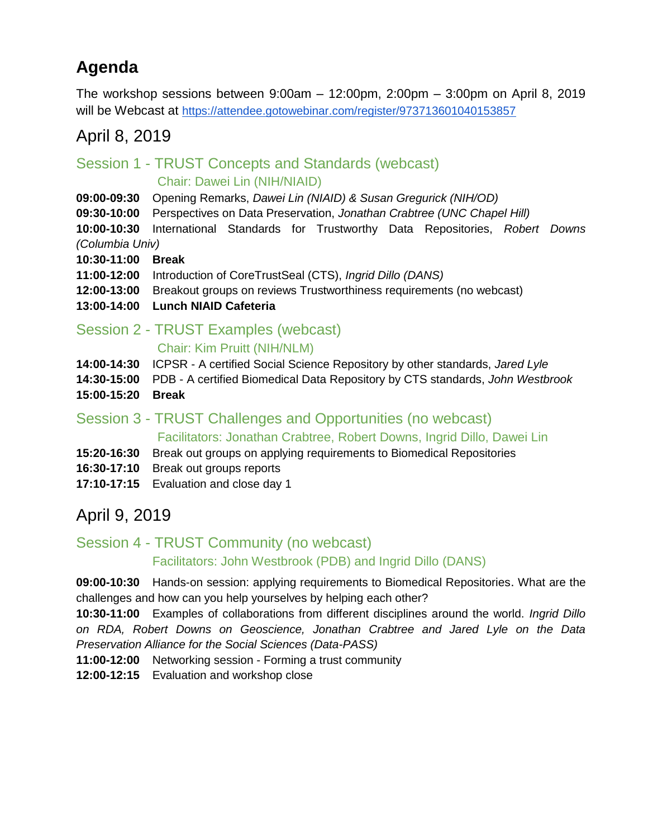# **Agenda**

The workshop sessions between 9:00am – 12:00pm, 2:00pm – 3:00pm on April 8, 2019 will be Webcast a[t](https://attendee.gotowebinar.com/register/973713601040153857) <https://attendee.gotowebinar.com/register/973713601040153857>

# April 8, 2019

# Session 1 - TRUST Concepts and Standards (webcast) Chair: Dawei Lin (NIH/NIAID)

- **09:00-09:30** Opening Remarks, *Dawei Lin (NIAID) & Susan Gregurick (NIH/OD)*
- **09:30-10:00** Perspectives on Data Preservation, *Jonathan Crabtree (UNC Chapel Hill)*

**10:00-10:30** International Standards for Trustworthy Data Repositories, *Robert Downs (Columbia Univ)*

- **10:30-11:00 Break**
- **11:00-12:00** Introduction of CoreTrustSeal (CTS), *Ingrid Dillo (DANS)*
- **12:00-13:00** Breakout groups on reviews Trustworthiness requirements (no webcast)
- **13:00-14:00 Lunch NIAID Cafeteria**

# Session 2 - TRUST Examples (webcast)

#### Chair: Kim Pruitt (NIH/NLM)

- **14:00-14:30** ICPSR A certified Social Science Repository by other standards, *Jared Lyle*
- **14:30-15:00** PDB A certified Biomedical Data Repository by CTS standards, *John Westbrook*
- **15:00-15:20 Break**

# Session 3 - TRUST Challenges and Opportunities (no webcast)

Facilitators: Jonathan Crabtree, Robert Downs, Ingrid Dillo, Dawei Lin

- **15:20-16:30** Break out groups on applying requirements to Biomedical Repositories
- **16:30-17:10** Break out groups reports
- **17:10-17:15** Evaluation and close day 1

# April 9, 2019

# Session 4 - TRUST Community (no webcast) Facilitators: John Westbrook (PDB) and Ingrid Dillo (DANS)

**09:00-10:30** Hands-on session: applying requirements to Biomedical Repositories. What are the challenges and how can you help yourselves by helping each other?

**10:30-11:00** Examples of collaborations from different disciplines around the world. *Ingrid Dillo on RDA, Robert Downs on Geoscience, Jonathan Crabtree and Jared Lyle on the Data Preservation Alliance for the Social Sciences (Data-PASS)*

**11:00-12:00** Networking session - Forming a trust community

**12:00-12:15** Evaluation and workshop close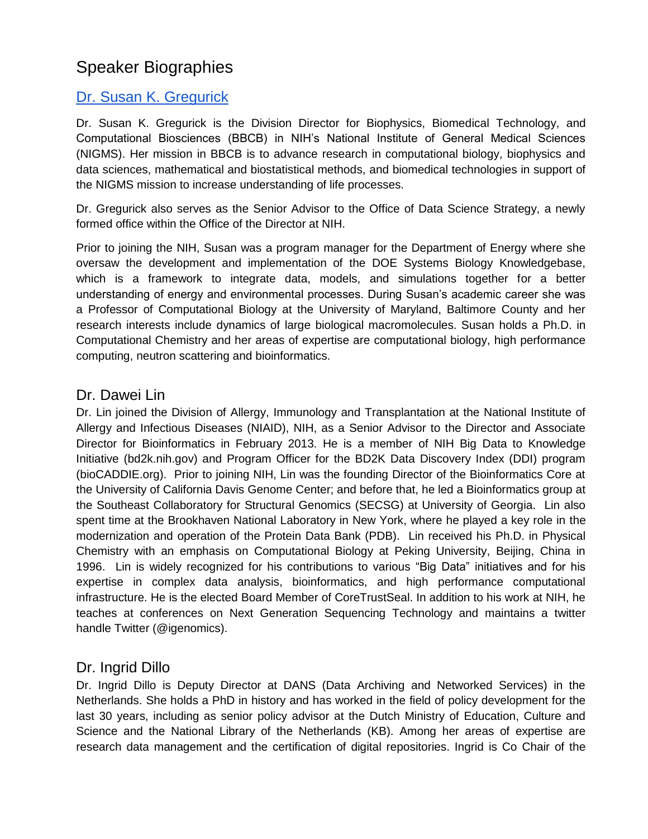# Speaker Biographies

# [Dr. Susan K. Gregurick](https://www.nigms.nih.gov/about/Pages/gregurick2.aspx)

Dr. Susan K. Gregurick is the Division Director for Biophysics, Biomedical Technology, and Computational Biosciences (BBCB) in NIH's National Institute of General Medical Sciences (NIGMS). Her mission in BBCB is to advance research in computational biology, biophysics and data sciences, mathematical and biostatistical methods, and biomedical technologies in support of the NIGMS mission to increase understanding of life processes.

Dr. Gregurick also serves as the Senior Advisor to the Office of Data Science Strategy, a newly formed office within the Office of the Director at NIH.

Prior to joining the NIH, Susan was a program manager for the Department of Energy where she oversaw the development and implementation of the DOE Systems Biology Knowledgebase, which is a framework to integrate data, models, and simulations together for a better understanding of energy and environmental processes. During Susan's academic career she was a Professor of Computational Biology at the University of Maryland, Baltimore County and her research interests include dynamics of large biological macromolecules. Susan holds a Ph.D. in Computational Chemistry and her areas of expertise are computational biology, high performance computing, neutron scattering and bioinformatics.

# Dr. Dawei Lin

Dr. Lin joined the Division of Allergy, Immunology and Transplantation at the National Institute of Allergy and Infectious Diseases (NIAID), NIH, as a Senior Advisor to the Director and Associate Director for Bioinformatics in February 2013. He is a member of NIH Big Data to Knowledge Initiative (bd2k.nih.gov) and Program Officer for the BD2K Data Discovery Index (DDI) program (bioCADDIE.org). Prior to joining NIH, Lin was the founding Director of the Bioinformatics Core at the University of California Davis Genome Center; and before that, he led a Bioinformatics group at the Southeast Collaboratory for Structural Genomics (SECSG) at University of Georgia. Lin also spent time at the Brookhaven National Laboratory in New York, where he played a key role in the modernization and operation of the Protein Data Bank (PDB). Lin received his Ph.D. in Physical Chemistry with an emphasis on Computational Biology at Peking University, Beijing, China in 1996. Lin is widely recognized for his contributions to various "Big Data" initiatives and for his expertise in complex data analysis, bioinformatics, and high performance computational infrastructure. He is the elected Board Member of CoreTrustSeal. In addition to his work at NIH, he teaches at conferences on Next Generation Sequencing Technology and maintains a twitter handle Twitter (@igenomics).

# Dr. Ingrid Dillo

Dr. Ingrid Dillo is Deputy Director at DANS (Data Archiving and Networked Services) in the Netherlands. She holds a PhD in history and has worked in the field of policy development for the last 30 years, including as senior policy advisor at the Dutch Ministry of Education, Culture and Science and the National Library of the Netherlands (KB). Among her areas of expertise are research data management and the certification of digital repositories. Ingrid is Co Chair of the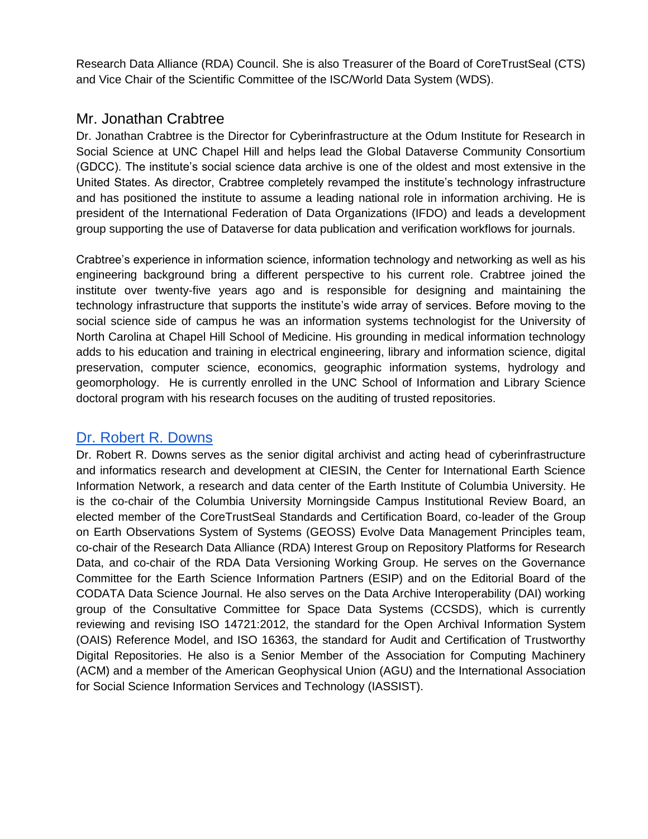Research Data Alliance (RDA) Council. She is also Treasurer of the Board of CoreTrustSeal (CTS) and Vice Chair of the Scientific Committee of the ISC/World Data System (WDS).

# Mr. Jonathan Crabtree

Dr. Jonathan Crabtree is the Director for Cyberinfrastructure at the Odum Institute for Research in Social Science at UNC Chapel Hill and helps lead the Global Dataverse Community Consortium (GDCC). The institute's social science data archive is one of the oldest and most extensive in the United States. As director, Crabtree completely revamped the institute's technology infrastructure and has positioned the institute to assume a leading national role in information archiving. He is president of the International Federation of Data Organizations (IFDO) and leads a development group supporting the use of Dataverse for data publication and verification workflows for journals.

Crabtree's experience in information science, information technology and networking as well as his engineering background bring a different perspective to his current role. Crabtree joined the institute over twenty-five years ago and is responsible for designing and maintaining the technology infrastructure that supports the institute's wide array of services. Before moving to the social science side of campus he was an information systems technologist for the University of North Carolina at Chapel Hill School of Medicine. His grounding in medical information technology adds to his education and training in electrical engineering, library and information science, digital preservation, computer science, economics, geographic information systems, hydrology and geomorphology. He is currently enrolled in the UNC School of Information and Library Science doctoral program with his research focuses on the auditing of trusted repositories.

# [Dr. Robert R. Downs](https://orcid.org/0000-0002-8595-5134)

Dr. Robert R. Downs serves as the senior digital archivist and acting head of cyberinfrastructure and informatics research and development at CIESIN, the Center for International Earth Science Information Network, a research and data center of the Earth Institute of Columbia University. He is the co-chair of the Columbia University Morningside Campus Institutional Review Board, an elected member of the CoreTrustSeal Standards and Certification Board, co-leader of the Group on Earth Observations System of Systems (GEOSS) Evolve Data Management Principles team, co-chair of the Research Data Alliance (RDA) Interest Group on Repository Platforms for Research Data, and co-chair of the RDA Data Versioning Working Group. He serves on the Governance Committee for the Earth Science Information Partners (ESIP) and on the Editorial Board of the CODATA Data Science Journal. He also serves on the Data Archive Interoperability (DAI) working group of the Consultative Committee for Space Data Systems (CCSDS), which is currently reviewing and revising ISO 14721:2012, the standard for the Open Archival Information System (OAIS) Reference Model, and ISO 16363, the standard for Audit and Certification of Trustworthy Digital Repositories. He also is a Senior Member of the Association for Computing Machinery (ACM) and a member of the American Geophysical Union (AGU) and the International Association for Social Science Information Services and Technology (IASSIST).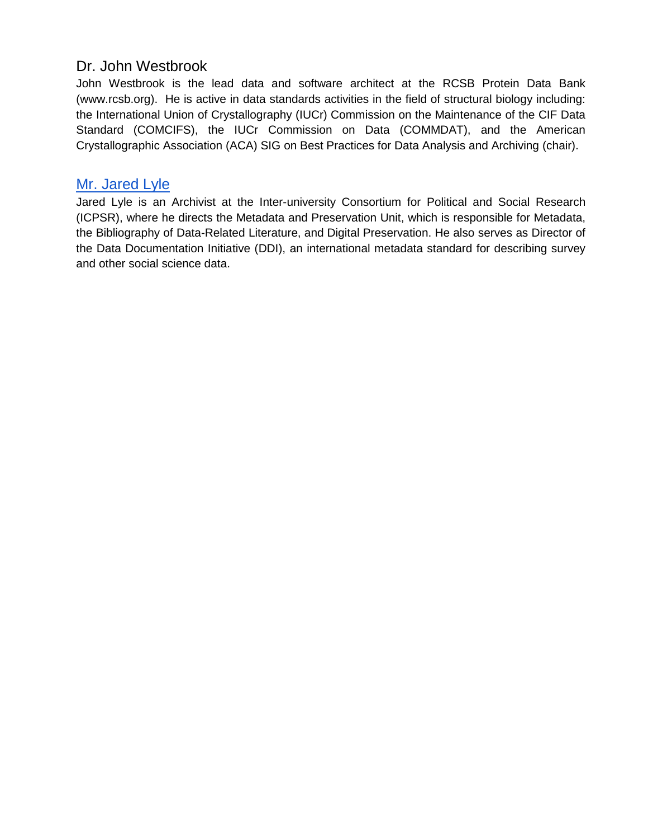# Dr. John Westbrook

John Westbrook is the lead data and software architect at the RCSB Protein Data Bank (www.rcsb.org). He is active in data standards activities in the field of structural biology including: the International Union of Crystallography (IUCr) Commission on the Maintenance of the CIF Data Standard (COMCIFS), the IUCr Commission on Data (COMMDAT), and the American Crystallographic Association (ACA) SIG on Best Practices for Data Analysis and Archiving (chair).

# [Mr. Jared Lyle](https://www.icpsr.umich.edu/icpsrweb/content/about/staff/lyle.html)

Jared Lyle is an Archivist at the Inter-university Consortium for Political and Social Research (ICPSR), where he directs the Metadata and Preservation Unit, which is responsible for Metadata, the Bibliography of Data-Related Literature, and Digital Preservation. He also serves as Director of the Data Documentation Initiative (DDI), an international metadata standard for describing survey and other social science data.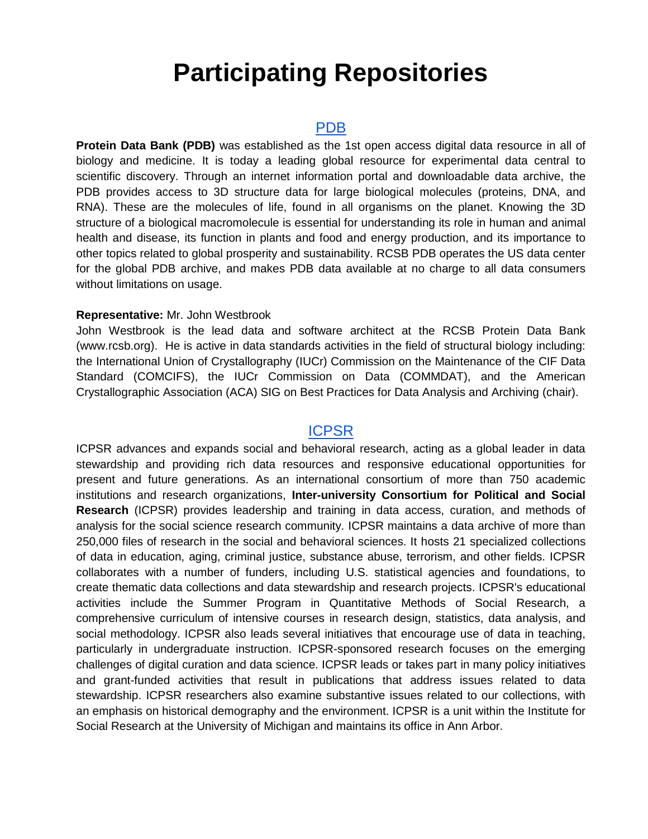# **Participating Repositories**

#### [PDB](https://www.rcsb.org/)

**Protein Data Bank (PDB)** was established as the 1st open access digital data resource in all of biology and medicine. It is today a leading global resource for experimental data central to scientific discovery. Through an internet information portal and downloadable data archive, the PDB provides access to 3D structure data for large biological molecules (proteins, DNA, and RNA). These are the molecules of life, found in all organisms on the planet. Knowing the 3D structure of a biological macromolecule is essential for understanding its role in human and animal health and disease, its function in plants and food and energy production, and its importance to other topics related to global prosperity and sustainability. RCSB PDB operates the US data center for the global PDB archive, and makes PDB data available at no charge to all data consumers without limitations on usage.

#### **Representative:** Mr. John Westbrook

John Westbrook is the lead data and software architect at the RCSB Protein Data Bank (www.rcsb.org). He is active in data standards activities in the field of structural biology including: the International Union of Crystallography (IUCr) Commission on the Maintenance of the CIF Data Standard (COMCIFS), the IUCr Commission on Data (COMMDAT), and the American Crystallographic Association (ACA) SIG on Best Practices for Data Analysis and Archiving (chair).

# **[ICPSR](https://www.icpsr.umich.edu/icpsrweb/)**

ICPSR advances and expands social and behavioral research, acting as a global leader in data stewardship and providing rich data resources and responsive educational opportunities for present and future generations. As an international consortium of more than 750 academic institutions and research organizations, **Inter-university Consortium for Political and Social Research** (ICPSR) provides leadership and training in data access, curation, and methods of analysis for the social science research community. ICPSR maintains a data archive of more than 250,000 files of research in the social and behavioral sciences. It hosts 21 specialized collections of data in education, aging, criminal justice, substance abuse, terrorism, and other fields. ICPSR collaborates with a number of funders, including U.S. statistical agencies and foundations, to create thematic data collections and data stewardship and research projects. ICPSR's educational activities include the Summer Program in Quantitative Methods of Social Research, a comprehensive curriculum of intensive courses in research design, statistics, data analysis, and social methodology. ICPSR also leads several initiatives that encourage use of data in teaching, particularly in undergraduate instruction. ICPSR-sponsored research focuses on the emerging challenges of digital curation and data science. ICPSR leads or takes part in many policy initiatives and grant-funded activities that result in publications that address issues related to data stewardship. ICPSR researchers also examine substantive issues related to our collections, with an emphasis on historical demography and the environment. ICPSR is a unit within the Institute for Social Research at the University of Michigan and maintains its office in Ann Arbor.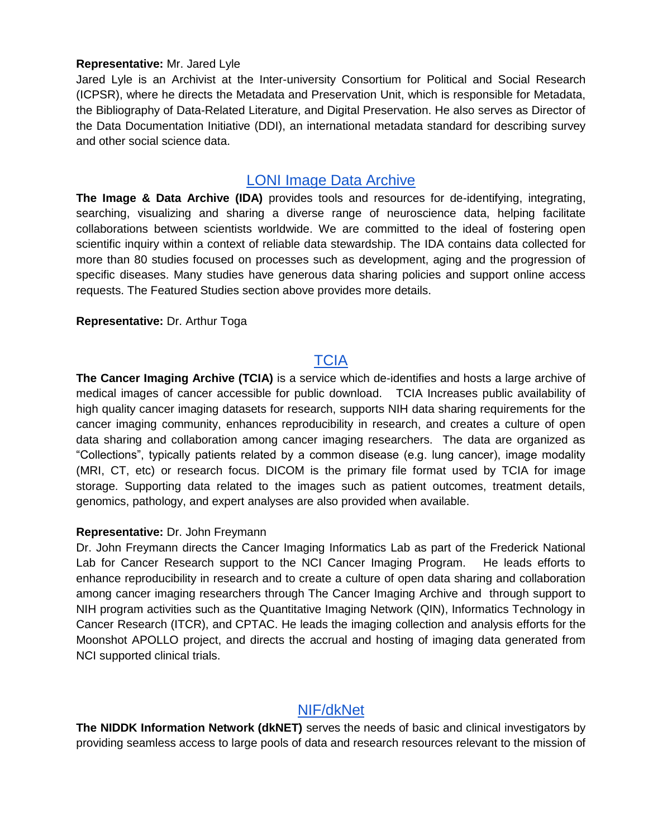#### **Representative:** Mr. Jared Lyle

Jared Lyle is an Archivist at the Inter-university Consortium for Political and Social Research (ICPSR), where he directs the Metadata and Preservation Unit, which is responsible for Metadata, the Bibliography of Data-Related Literature, and Digital Preservation. He also serves as Director of the Data Documentation Initiative (DDI), an international metadata standard for describing survey and other social science data.

# [LONI Image Data Archive](https://ida.loni.usc.edu/login.jsp)

**The Image & Data Archive (IDA)** provides tools and resources for de-identifying, integrating, searching, visualizing and sharing a diverse range of neuroscience data, helping facilitate collaborations between scientists worldwide. We are committed to the ideal of fostering open scientific inquiry within a context of reliable data stewardship. The IDA contains data collected for more than 80 studies focused on processes such as development, aging and the progression of specific diseases. Many studies have generous data sharing policies and support online access requests. The Featured Studies section above provides more details.

#### **Representative:** Dr. Arthur Toga

# **[TCIA](https://www.cancerimagingarchive.net/)**

**The Cancer Imaging Archive (TCIA)** is a service which de-identifies and hosts a large archive of medical images of cancer accessible for public download. TCIA Increases public availability of high quality cancer imaging datasets for research, supports NIH data sharing requirements for the cancer imaging community, enhances reproducibility in research, and creates a culture of open data sharing and collaboration among cancer imaging researchers. The data are organized as "Collections", typically patients related by a common disease (e.g. lung cancer), image modality (MRI, CT, etc) or research focus. DICOM is the primary file format used by TCIA for image storage. Supporting data related to the images such as patient outcomes, treatment details, genomics, pathology, and expert analyses are also provided when available.

#### **Representative:** Dr. John Freymann

Dr. John Freymann directs the Cancer Imaging Informatics Lab as part of the Frederick National Lab for Cancer Research support to the NCI Cancer Imaging Program. He leads efforts to enhance reproducibility in research and to create a culture of open data sharing and collaboration among cancer imaging researchers through The Cancer Imaging Archive and through support to NIH program activities such as the Quantitative Imaging Network (QIN), Informatics Technology in Cancer Research (ITCR), and CPTAC. He leads the imaging collection and analysis efforts for the Moonshot APOLLO project, and directs the accrual and hosting of imaging data generated from NCI supported clinical trials.

# [NIF/dkNet](https://dknet.org/)

**The NIDDK Information Network (dkNET)** serves the needs of basic and clinical investigators by providing seamless access to large pools of data and research resources relevant to the mission of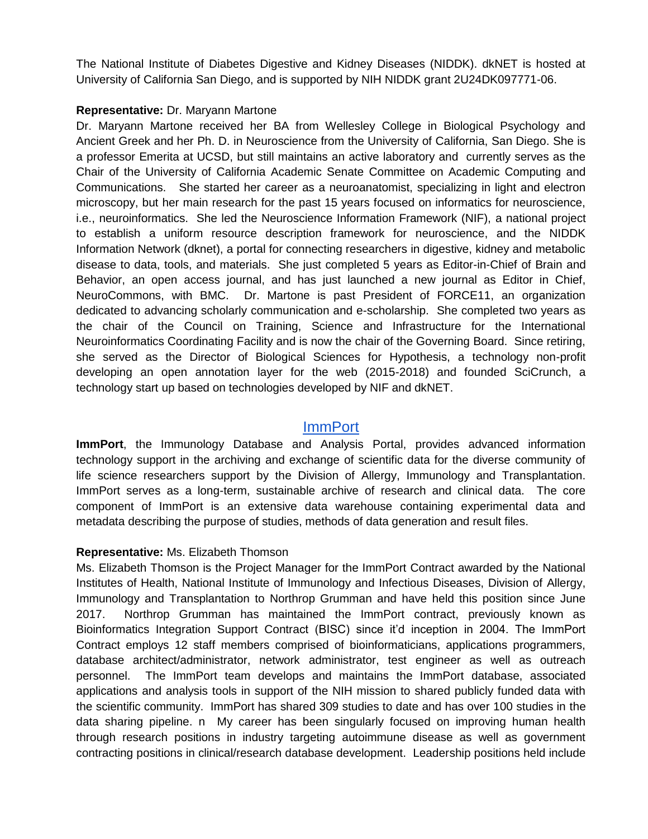The National Institute of Diabetes Digestive and Kidney Diseases (NIDDK). dkNET is hosted at University of California San Diego, and is supported by NIH NIDDK grant 2U24DK097771-06.

#### **Representative:** Dr. Maryann Martone

Dr. Maryann Martone received her BA from Wellesley College in Biological Psychology and Ancient Greek and her Ph. D. in Neuroscience from the University of California, San Diego. She is a professor Emerita at UCSD, but still maintains an active laboratory and currently serves as the Chair of the University of California Academic Senate Committee on Academic Computing and Communications. She started her career as a neuroanatomist, specializing in light and electron microscopy, but her main research for the past 15 years focused on informatics for neuroscience, i.e., neuroinformatics. She led the Neuroscience Information Framework (NIF), a national project to establish a uniform resource description framework for neuroscience, and the NIDDK Information Network (dknet), a portal for connecting researchers in digestive, kidney and metabolic disease to data, tools, and materials. She just completed 5 years as Editor-in-Chief of Brain and Behavior, an open access journal, and has just launched a new journal as Editor in Chief, NeuroCommons, with BMC. Dr. Martone is past President of FORCE11, an organization dedicated to advancing scholarly communication and e-scholarship. She completed two years as the chair of the Council on Training, Science and Infrastructure for the International Neuroinformatics Coordinating Facility and is now the chair of the Governing Board. Since retiring, she served as the Director of Biological Sciences for Hypothesis, a technology non-profit developing an open annotation layer for the web (2015-2018) and founded SciCrunch, a technology start up based on technologies developed by NIF and dkNET.

# [ImmPort](https://www.immport.org/home)

**ImmPort**, the Immunology Database and Analysis Portal, provides advanced information technology support in the archiving and exchange of scientific data for the diverse community of life science researchers support by the Division of Allergy, Immunology and Transplantation. ImmPort serves as a long-term, sustainable archive of research and clinical data. The core component of ImmPort is an extensive data warehouse containing experimental data and metadata describing the purpose of studies, methods of data generation and result files.

#### **Representative:** Ms. Elizabeth Thomson

Ms. Elizabeth Thomson is the Project Manager for the ImmPort Contract awarded by the National Institutes of Health, National Institute of Immunology and Infectious Diseases, Division of Allergy, Immunology and Transplantation to Northrop Grumman and have held this position since June 2017. Northrop Grumman has maintained the ImmPort contract, previously known as Bioinformatics Integration Support Contract (BISC) since it'd inception in 2004. The ImmPort Contract employs 12 staff members comprised of bioinformaticians, applications programmers, database architect/administrator, network administrator, test engineer as well as outreach personnel. The ImmPort team develops and maintains the ImmPort database, associated applications and analysis tools in support of the NIH mission to shared publicly funded data with the scientific community. ImmPort has shared 309 studies to date and has over 100 studies in the data sharing pipeline. n My career has been singularly focused on improving human health through research positions in industry targeting autoimmune disease as well as government contracting positions in clinical/research database development. Leadership positions held include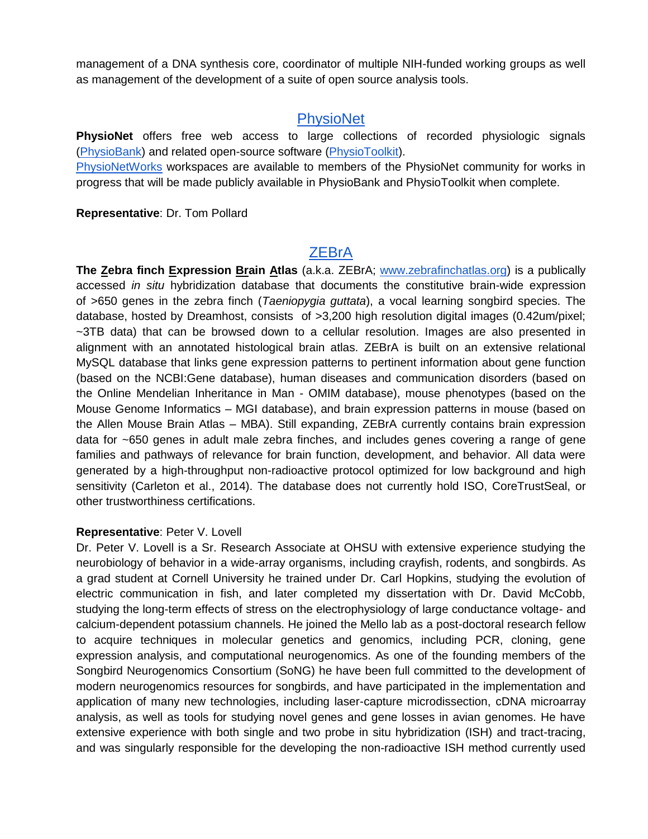management of a DNA synthesis core, coordinator of multiple NIH-funded working groups as well as management of the development of a suite of open source analysis tools.

# **[PhysioNet](https://physionet.org/)**

**PhysioNet** offers free web access to large collections of recorded physiologic signals [\(PhysioBank\)](https://physionet.org/physiobank/) and related open-source software [\(PhysioToolkit\)](https://physionet.org/physiotools/).

[PhysioNetWorks](https://physionet.org/users/) workspaces are available to members of the PhysioNet community for works in progress that will be made publicly available in PhysioBank and PhysioToolkit when complete.

**Representative**: Dr. Tom Pollard

# **[ZEBrA](http://www.zebrafinchatlas.org/)**

**The Zebra finch Expression Brain Atlas** (a.k.a. ZEBrA[;](http://www.zebrafinchatlas.org/) [www.zebrafinchatlas.org\)](http://www.zebrafinchatlas.org/) is a publically accessed *in situ* hybridization database that documents the constitutive brain-wide expression of >650 genes in the zebra finch (*Taeniopygia guttata*), a vocal learning songbird species. The database, hosted by Dreamhost, consists of >3,200 high resolution digital images (0.42um/pixel; ~3TB data) that can be browsed down to a cellular resolution. Images are also presented in alignment with an annotated histological brain atlas. ZEBrA is built on an extensive relational MySQL database that links gene expression patterns to pertinent information about gene function (based on the NCBI:Gene database), human diseases and communication disorders (based on the Online Mendelian Inheritance in Man - OMIM database), mouse phenotypes (based on the Mouse Genome Informatics – MGI database), and brain expression patterns in mouse (based on the Allen Mouse Brain Atlas – MBA). Still expanding, ZEBrA currently contains brain expression data for ~650 genes in adult male zebra finches, and includes genes covering a range of gene families and pathways of relevance for brain function, development, and behavior. All data were generated by a high-throughput non-radioactive protocol optimized for low background and high sensitivity (Carleton et al., 2014). The database does not currently hold ISO, CoreTrustSeal, or other trustworthiness certifications.

#### **Representative**: Peter V. Lovell

Dr. Peter V. Lovell is a Sr. Research Associate at OHSU with extensive experience studying the neurobiology of behavior in a wide-array organisms, including crayfish, rodents, and songbirds. As a grad student at Cornell University he trained under Dr. Carl Hopkins, studying the evolution of electric communication in fish, and later completed my dissertation with Dr. David McCobb, studying the long-term effects of stress on the electrophysiology of large conductance voltage- and calcium-dependent potassium channels. He joined the Mello lab as a post-doctoral research fellow to acquire techniques in molecular genetics and genomics, including PCR, cloning, gene expression analysis, and computational neurogenomics. As one of the founding members of the Songbird Neurogenomics Consortium (SoNG) he have been full committed to the development of modern neurogenomics resources for songbirds, and have participated in the implementation and application of many new technologies, including laser-capture microdissection, cDNA microarray analysis, as well as tools for studying novel genes and gene losses in avian genomes. He have extensive experience with both single and two probe in situ hybridization (ISH) and tract-tracing, and was singularly responsible for the developing the non-radioactive ISH method currently used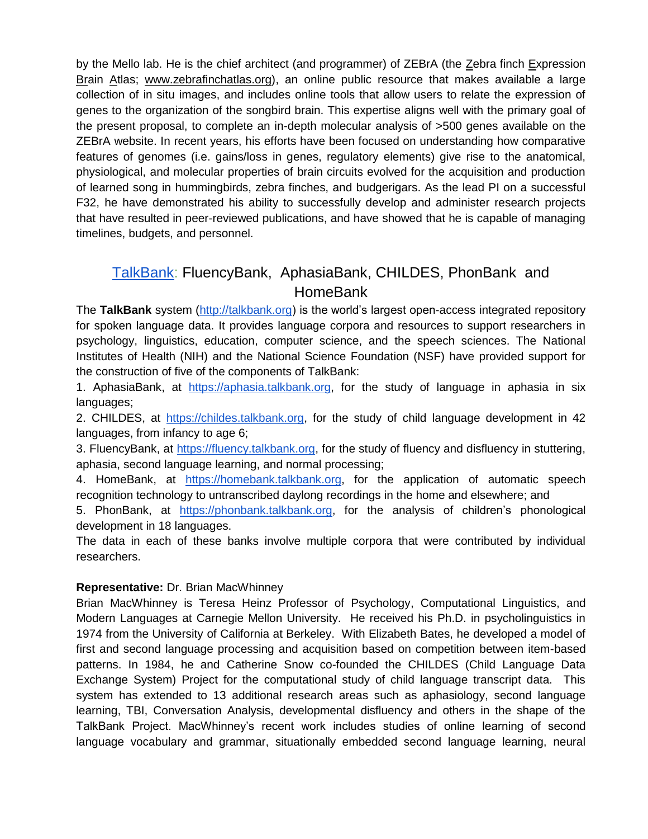by the Mello lab. He is the chief architect (and programmer) of ZEBrA (the Zebra finch Expression Brain Atlas[;](http://www.zebrafinchatlas.org/) [www.zebrafinchatlas.org\)](http://www.zebrafinchatlas.org/), an online public resource that makes available a large collection of in situ images, and includes online tools that allow users to relate the expression of genes to the organization of the songbird brain. This expertise aligns well with the primary goal of the present proposal, to complete an in-depth molecular analysis of >500 genes available on the ZEBrA website. In recent years, his efforts have been focused on understanding how comparative features of genomes (i.e. gains/loss in genes, regulatory elements) give rise to the anatomical, physiological, and molecular properties of brain circuits evolved for the acquisition and production of learned song in hummingbirds, zebra finches, and budgerigars. As the lead PI on a successful F32, he have demonstrated his ability to successfully develop and administer research projects that have resulted in peer-reviewed publications, and have showed that he is capable of managing timelines, budgets, and personnel.

# [TalkBank:](https://talkbank.org/) FluencyBank, AphasiaBank, CHILDES, PhonBank and **HomeBank**

The **TalkBank** system [\(http://talkbank.org\)](http://talkbank.org/) is the world's largest open-access integrated repository for spoken language data. It provides language corpora and resources to support researchers in psychology, linguistics, education, computer science, and the speech sciences. The National Institutes of Health (NIH) and the National Science Foundation (NSF) have provided support for the construction of five of the components of TalkBank:

1. AphasiaBank, at [https://aphasia.talkbank.org,](https://aphasia.talkbank.org/) for the study of language in aphasia in six languages;

2. CHILDES, at [https://childes.talkbank.org,](https://childes.talkbank.org/) for the study of child language development in 42 languages, from infancy to age 6;

3. FluencyBank, at [https://fluency.talkbank.org,](https://fluency.talkbank.org/) for the study of fluency and disfluency in stuttering, aphasia, second language learning, and normal processing;

4. HomeBank, at [https://homebank.talkbank.org,](https://homebank.talkbank.org/) for the application of automatic speech recognition technology to untranscribed daylong recordings in the home and elsewhere; and

5. PhonBank, at [https://phonbank.talkbank.org,](https://phonbank.talkbank.org/) for the analysis of children's phonological development in 18 languages.

The data in each of these banks involve multiple corpora that were contributed by individual researchers.

#### **Representative:** Dr. Brian MacWhinney

Brian MacWhinney is Teresa Heinz Professor of Psychology, Computational Linguistics, and Modern Languages at Carnegie Mellon University. He received his Ph.D. in psycholinguistics in 1974 from the University of California at Berkeley. With Elizabeth Bates, he developed a model of first and second language processing and acquisition based on competition between item-based patterns. In 1984, he and Catherine Snow co-founded the CHILDES (Child Language Data Exchange System) Project for the computational study of child language transcript data. This system has extended to 13 additional research areas such as aphasiology, second language learning, TBI, Conversation Analysis, developmental disfluency and others in the shape of the TalkBank Project. MacWhinney's recent work includes studies of online learning of second language vocabulary and grammar, situationally embedded second language learning, neural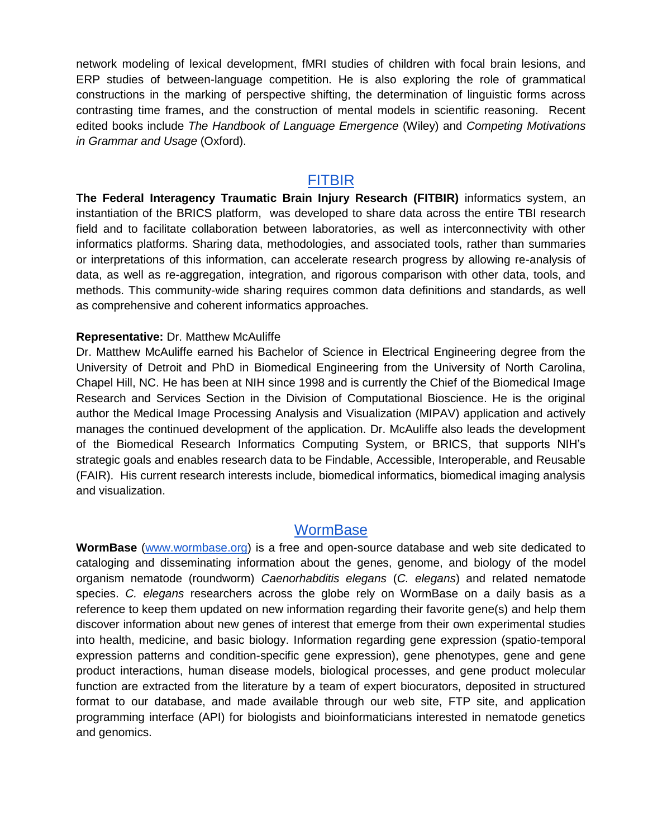network modeling of lexical development, fMRI studies of children with focal brain lesions, and ERP studies of between-language competition. He is also exploring the role of grammatical constructions in the marking of perspective shifting, the determination of linguistic forms across contrasting time frames, and the construction of mental models in scientific reasoning. Recent edited books include *The Handbook of Language Emergence* (Wiley) and *Competing Motivations in Grammar and Usage* (Oxford).

#### **[FITBIR](https://fitbir.nih.gov/)**

**The Federal Interagency Traumatic Brain Injury Research (FITBIR)** informatics system, an instantiation of the BRICS platform, was developed to share data across the entire TBI research field and to facilitate collaboration between laboratories, as well as interconnectivity with other informatics platforms. Sharing data, methodologies, and associated tools, rather than summaries or interpretations of this information, can accelerate research progress by allowing re-analysis of data, as well as re-aggregation, integration, and rigorous comparison with other data, tools, and methods. This community-wide sharing requires common data definitions and standards, as well as comprehensive and coherent informatics approaches.

#### **Representative:** Dr. Matthew McAuliffe

Dr. Matthew McAuliffe earned his Bachelor of Science in Electrical Engineering degree from the University of Detroit and PhD in Biomedical Engineering from the University of North Carolina, Chapel Hill, NC. He has been at NIH since 1998 and is currently the Chief of the Biomedical Image Research and Services Section in the Division of Computational Bioscience. He is the original author the Medical Image Processing Analysis and Visualization (MIPAV) application and actively manages the continued development of the application. Dr. McAuliffe also leads the development of the Biomedical Research Informatics Computing System, or BRICS, that supports NIH's strategic goals and enables research data to be Findable, Accessible, Interoperable, and Reusable (FAIR). His current research interests include, biomedical informatics, biomedical imaging analysis and visualization.

#### **[WormBase](https://www.wormbase.org/)**

**WormBase** [\(www.wormbase.org\)](http://www.wormbase.org/) is a free and open-source database and web site dedicated to cataloging and disseminating information about the genes, genome, and biology of the model organism nematode (roundworm) *Caenorhabditis elegans* (*C. elegans*) and related nematode species. *C. elegans* researchers across the globe rely on WormBase on a daily basis as a reference to keep them updated on new information regarding their favorite gene(s) and help them discover information about new genes of interest that emerge from their own experimental studies into health, medicine, and basic biology. Information regarding gene expression (spatio-temporal expression patterns and condition-specific gene expression), gene phenotypes, gene and gene product interactions, human disease models, biological processes, and gene product molecular function are extracted from the literature by a team of expert biocurators, deposited in structured format to our database, and made available through our web site, FTP site, and application programming interface (API) for biologists and bioinformaticians interested in nematode genetics and genomics.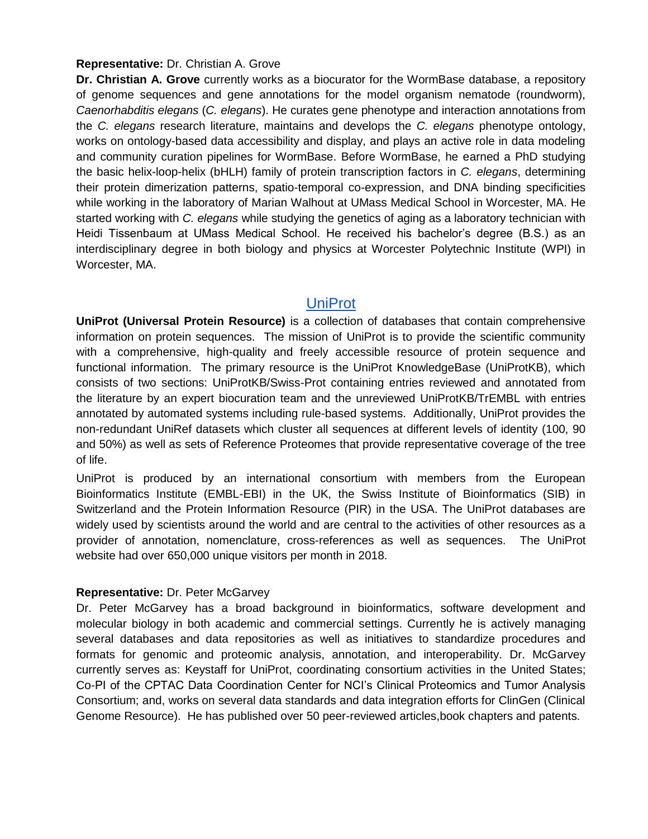#### **Representative:** Dr. Christian A. Grove

**Dr. Christian A. Grove** currently works as a biocurator for the WormBase database, a repository of genome sequences and gene annotations for the model organism nematode (roundworm), *Caenorhabditis elegans* (*C. elegans*). He curates gene phenotype and interaction annotations from the *C. elegans* research literature, maintains and develops the *C. elegans* phenotype ontology, works on ontology-based data accessibility and display, and plays an active role in data modeling and community curation pipelines for WormBase. Before WormBase, he earned a PhD studying the basic helix-loop-helix (bHLH) family of protein transcription factors in *C. elegans*, determining their protein dimerization patterns, spatio-temporal co-expression, and DNA binding specificities while working in the laboratory of Marian Walhout at UMass Medical School in Worcester, MA. He started working with *C. elegans* while studying the genetics of aging as a laboratory technician with Heidi Tissenbaum at UMass Medical School. He received his bachelor's degree (B.S.) as an interdisciplinary degree in both biology and physics at Worcester Polytechnic Institute (WPI) in Worcester, MA.

#### [UniProt](https://www.uniprot.org/)

**UniProt (Universal Protein Resource)** is a collection of databases that contain comprehensive information on protein sequences. The mission of UniProt is to provide the scientific community with a comprehensive, high-quality and freely accessible resource of protein sequence and functional information. The primary resource is the UniProt KnowledgeBase (UniProtKB), which consists of two sections: UniProtKB/Swiss-Prot containing entries reviewed and annotated from the literature by an expert biocuration team and the unreviewed UniProtKB/TrEMBL with entries annotated by automated systems including rule-based systems. Additionally, UniProt provides the non-redundant UniRef datasets which cluster all sequences at different levels of identity (100, 90 and 50%) as well as sets of Reference Proteomes that provide representative coverage of the tree of life.

UniProt is produced by an international consortium with members from the European Bioinformatics Institute (EMBL-EBI) in the UK, the Swiss Institute of Bioinformatics (SIB) in Switzerland and the Protein Information Resource (PIR) in the USA. The UniProt databases are widely used by scientists around the world and are central to the activities of other resources as a provider of annotation, nomenclature, cross-references as well as sequences. The UniProt website had over 650,000 unique visitors per month in 2018.

#### **Representative:** Dr. Peter McGarvey

Dr. Peter McGarvey has a broad background in bioinformatics, software development and molecular biology in both academic and commercial settings. Currently he is actively managing several databases and data repositories as well as initiatives to standardize procedures and formats for genomic and proteomic analysis, annotation, and interoperability. Dr. McGarvey currently serves as: Keystaff for UniProt, coordinating consortium activities in the United States; Co-PI of the CPTAC Data Coordination Center for NCI's Clinical Proteomics and Tumor Analysis Consortium; and, works on several data standards and data integration efforts for ClinGen (Clinical Genome Resource). He has published over 50 peer-reviewed articles,book chapters and patents.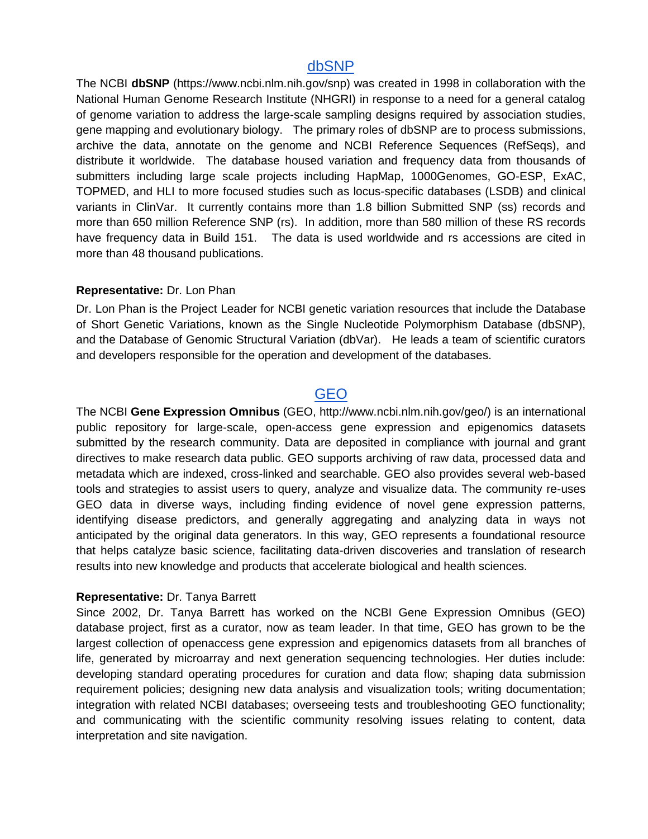#### [dbSNP](https://www.ncbi.nlm.nih.gov/snp)

The NCBI **dbSNP** (https://www.ncbi.nlm.nih.gov/snp) was created in 1998 in collaboration with the National Human Genome Research Institute (NHGRI) in response to a need for a general catalog of genome variation to address the large-scale sampling designs required by association studies, gene mapping and evolutionary biology. The primary roles of dbSNP are to process submissions, archive the data, annotate on the genome and NCBI Reference Sequences (RefSeqs), and distribute it worldwide. The database housed variation and frequency data from thousands of submitters including large scale projects including HapMap, 1000Genomes, GO-ESP, ExAC, TOPMED, and HLI to more focused studies such as locus-specific databases (LSDB) and clinical variants in ClinVar. It currently contains more than 1.8 billion Submitted SNP (ss) records and more than 650 million Reference SNP (rs). In addition, more than 580 million of these RS records have frequency data in Build 151. The data is used worldwide and rs accessions are cited in more than 48 thousand publications.

#### **Representative:** Dr. Lon Phan

Dr. Lon Phan is the Project Leader for NCBI genetic variation resources that include the Database of Short Genetic Variations, known as the Single Nucleotide Polymorphism Database (dbSNP), and the Database of Genomic Structural Variation (dbVar). He leads a team of scientific curators and developers responsible for the operation and development of the databases.

# [GEO](https://www.ncbi.nlm.nih.gov/geo/)

The NCBI **Gene Expression Omnibus** (GEO, [http://www.ncbi.nlm.nih.gov/geo/\)](http://www.ncbi.nlm.nih.gov/geo/) is an international public repository for large-scale, open-access gene expression and epigenomics datasets submitted by the research community. Data are deposited in compliance with journal and grant directives to make research data public. GEO supports archiving of raw data, processed data and metadata which are indexed, cross-linked and searchable. GEO also provides several web-based tools and strategies to assist users to query, analyze and visualize data. The community re-uses GEO data in diverse ways, including finding evidence of novel gene expression patterns, identifying disease predictors, and generally aggregating and analyzing data in ways not anticipated by the original data generators. In this way, GEO represents a foundational resource that helps catalyze basic science, facilitating data-driven discoveries and translation of research results into new knowledge and products that accelerate biological and health sciences.

#### **Representative:** Dr. Tanya Barrett

Since 2002, Dr. Tanya Barrett has worked on the NCBI Gene Expression Omnibus (GEO) database project, first as a curator, now as team leader. In that time, GEO has grown to be the largest collection of openaccess gene expression and epigenomics datasets from all branches of life, generated by microarray and next generation sequencing technologies. Her duties include: developing standard operating procedures for curation and data flow; shaping data submission requirement policies; designing new data analysis and visualization tools; writing documentation; integration with related NCBI databases; overseeing tests and troubleshooting GEO functionality; and communicating with the scientific community resolving issues relating to content, data interpretation and site navigation.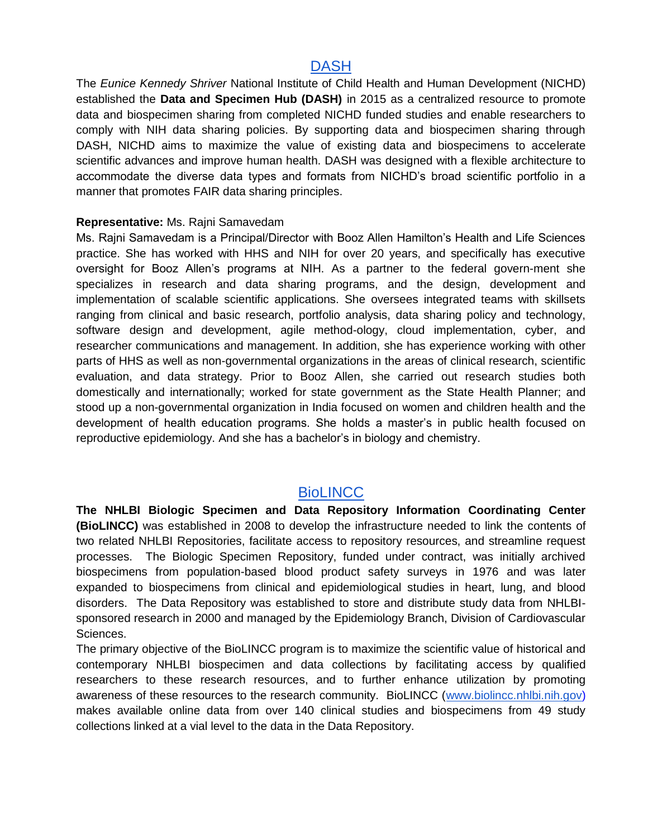# **[DASH](https://dash.nichd.nih.gov/)**

The *Eunice Kennedy Shriver* National Institute of Child Health and Human Development (NICHD) established the **Data and Specimen Hub (DASH)** in 2015 as a centralized resource to promote data and biospecimen sharing from completed NICHD funded studies and enable researchers to comply with NIH data sharing policies. By supporting data and biospecimen sharing through DASH, NICHD aims to maximize the value of existing data and biospecimens to accelerate scientific advances and improve human health. DASH was designed with a flexible architecture to accommodate the diverse data types and formats from NICHD's broad scientific portfolio in a manner that promotes FAIR data sharing principles.

#### **Representative:** Ms. Rajni Samavedam

Ms. Rajni Samavedam is a Principal/Director with Booz Allen Hamilton's Health and Life Sciences practice. She has worked with HHS and NIH for over 20 years, and specifically has executive oversight for Booz Allen's programs at NIH. As a partner to the federal govern-ment she specializes in research and data sharing programs, and the design, development and implementation of scalable scientific applications. She oversees integrated teams with skillsets ranging from clinical and basic research, portfolio analysis, data sharing policy and technology, software design and development, agile method-ology, cloud implementation, cyber, and researcher communications and management. In addition, she has experience working with other parts of HHS as well as non-governmental organizations in the areas of clinical research, scientific evaluation, and data strategy. Prior to Booz Allen, she carried out research studies both domestically and internationally; worked for state government as the State Health Planner; and stood up a non-governmental organization in India focused on women and children health and the development of health education programs. She holds a master's in public health focused on reproductive epidemiology. And she has a bachelor's in biology and chemistry.

#### **[BioLINCC](https://biolincc.nhlbi.nih.gov/home/)**

**The NHLBI Biologic Specimen and Data Repository Information Coordinating Center (BioLINCC)** was established in 2008 to develop the infrastructure needed to link the contents of two related NHLBI Repositories, facilitate access to repository resources, and streamline request processes. The Biologic Specimen Repository, funded under contract, was initially archived biospecimens from population-based blood product safety surveys in 1976 and was later expanded to biospecimens from clinical and epidemiological studies in heart, lung, and blood disorders. The Data Repository was established to store and distribute study data from NHLBIsponsored research in 2000 and managed by the Epidemiology Branch, Division of Cardiovascular Sciences.

The primary objective of the BioLINCC program is to maximize the scientific value of historical and contemporary NHLBI biospecimen and data collections by facilitating access by qualified researchers to these research resources, and to further enhance utilization by promoting awareness of these resources to the research community. BioLINCC [\(www.biolincc.nhlbi.nih.gov\)](http://www.biolincc.nhlbi.nih.gov/) makes available online data from over 140 clinical studies and biospecimens from 49 study collections linked at a vial level to the data in the Data Repository.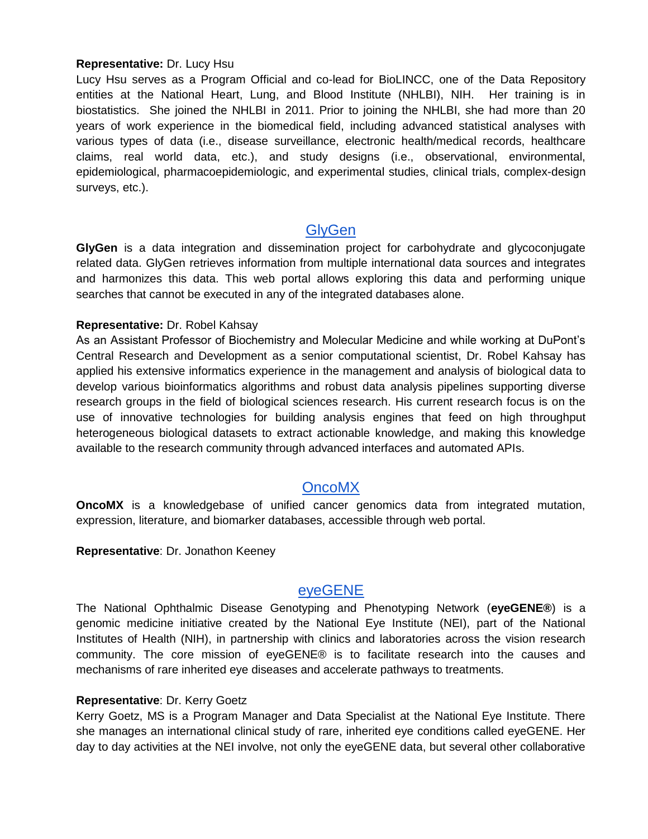#### **Representative:** Dr. Lucy Hsu

Lucy Hsu serves as a Program Official and co-lead for BioLINCC, one of the Data Repository entities at the National Heart, Lung, and Blood Institute (NHLBI), NIH. Her training is in biostatistics. She joined the NHLBI in 2011. Prior to joining the NHLBI, she had more than 20 years of work experience in the biomedical field, including advanced statistical analyses with various types of data (i.e., disease surveillance, electronic health/medical records, healthcare claims, real world data, etc.), and study designs (i.e., observational, environmental, epidemiological, pharmacoepidemiologic, and experimental studies, clinical trials, complex-design surveys, etc.).

#### **[GlyGen](http://www.glygen.org/)**

**GlyGen** is a data integration and dissemination project for carbohydrate and glycoconjugate related data. GlyGen retrieves information from multiple international data sources and integrates and harmonizes this data. This web portal allows exploring this data and performing unique searches that cannot be executed in any of the integrated databases alone.

#### **Representative:** Dr. Robel Kahsay

As an Assistant Professor of Biochemistry and Molecular Medicine and while working at DuPont's Central Research and Development as a senior computational scientist, Dr. Robel Kahsay has applied his extensive informatics experience in the management and analysis of biological data to develop various bioinformatics algorithms and robust data analysis pipelines supporting diverse research groups in the field of biological sciences research. His current research focus is on the use of innovative technologies for building analysis engines that feed on high throughput heterogeneous biological datasets to extract actionable knowledge, and making this knowledge available to the research community through advanced interfaces and automated APIs.

# [OncoMX](https://www.oncomx.org/)

**OncoMX** is a knowledgebase of unified cancer genomics data from integrated mutation, expression, literature, and biomarker databases, accessible through web portal.

#### **Representative**: Dr. Jonathon Keeney

# [eyeGENE](https://eyegene.nih.gov/)

The National Ophthalmic Disease Genotyping and Phenotyping Network (**eyeGENE®**) is a genomic medicine initiative created by the National Eye Institute (NEI), part of the National Institutes of Health (NIH), in partnership with clinics and laboratories across the vision research community. The core mission of eyeGENE® is to facilitate research into the causes and mechanisms of rare inherited eye diseases and accelerate pathways to treatments.

#### **Representative**: Dr. Kerry Goetz

Kerry Goetz, MS is a Program Manager and Data Specialist at the National Eye Institute. There she manages an international clinical study of rare, inherited eye conditions called eyeGENE. Her day to day activities at the NEI involve, not only the eyeGENE data, but several other collaborative